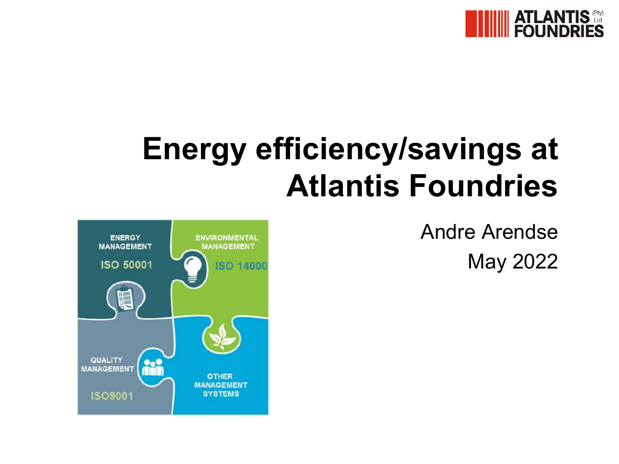

# **Energy efficiency/savings at Atlantis Foundries**

Andre Arendse May 2022

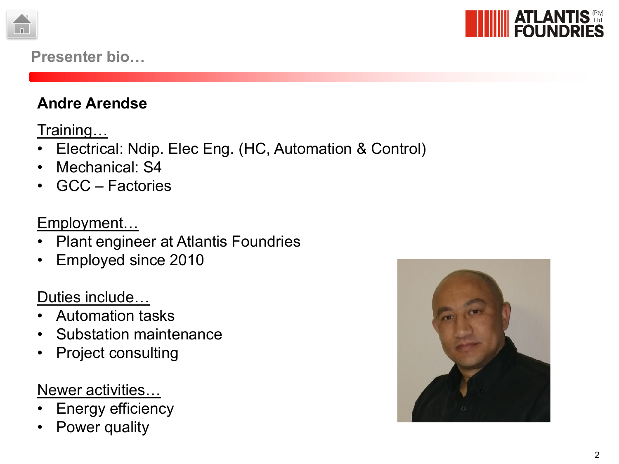



### **Presenter bio…**

## **Andre Arendse**

<u>Training…</u>

- Electrical: Ndip. Elec Eng. (HC, Automation & Control)
- Mechanical: S4
- GCC Factories

Employment…

- Plant engineer at Atlantis Foundries
- Employed since 2010

## Duties include…

- Automation tasks
- Substation maintenance
- Project consulting

## Newer activities…

- **Energy efficiency**
- Power quality

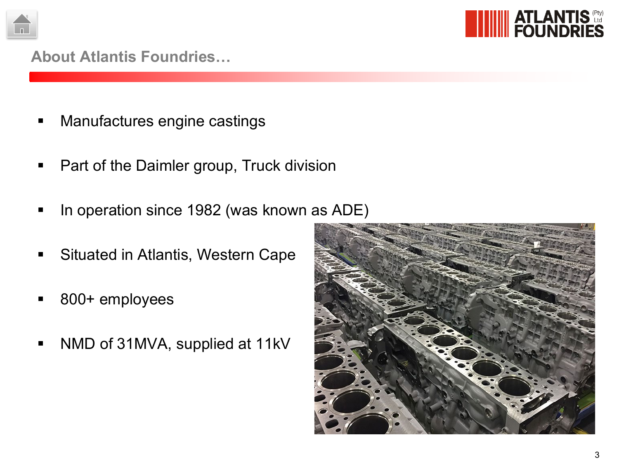



#### **About Atlantis Foundries…**

- **Manufactures engine castings**
- **Part of the Daimler group, Truck division**
- In operation since 1982 (was known as ADE)
- **Situated in Atlantis, Western Cape**
- 800+ employees
- NMD of 31MVA, supplied at 11kV

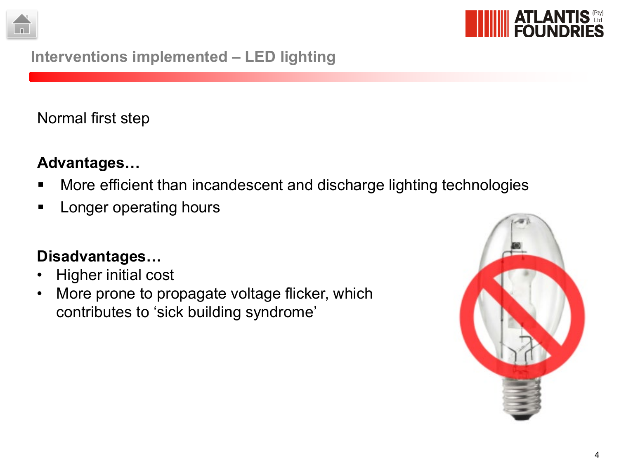



## **Interventions implemented – LED lighting**

Normal first step

## **Advantages…**

- **More efficient than incandescent and discharge lighting technologies**
- **Longer operating hours**

## **Disadvantages…**

- Higher initial cost
- More prone to propagate voltage flicker, which contributes to 'sick building syndrome'

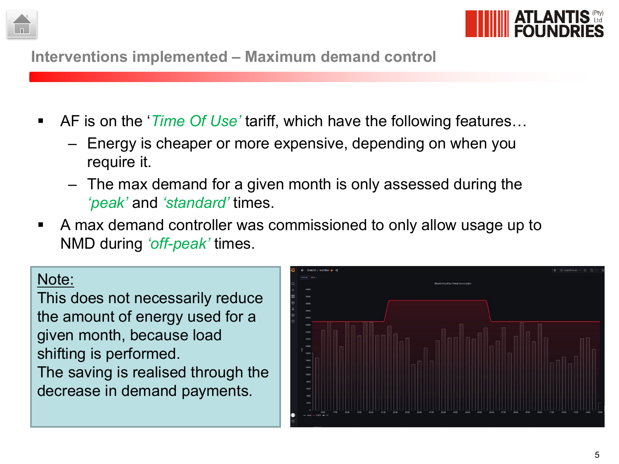



**Interventions implemented – Maximum demand control**

- AF is on the *'Time Of Use'* tariff, which have the following features...
	- Energy is cheaper or more expensive, depending on when you require it.
	- The max demand for a given month is only assessed during the *'peak'* and *'standard'* times.
- A max demand controller was commissioned to only allow usage up to NMD during *'off-peak'* times.

#### Note:

This does not necessarily reduce the amount of energy used for a given month, because load shifting is performed. The saving is realised through the decrease in demand payments.

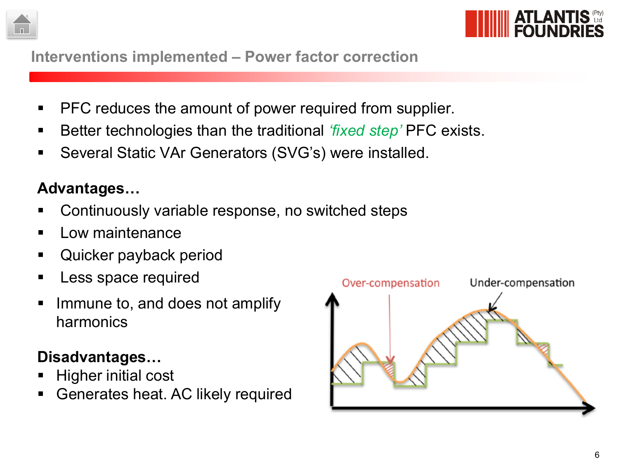



**Interventions implemented – Power factor correction**

- PFC reduces the amount of power required from supplier.
- Better technologies than the traditional *'fixed step'* PFC exists.
- Several Static VAr Generators (SVG's) were installed.

# **Advantages…**

- Continuously variable response, no switched steps
- Low maintenance
- Quicker payback period
- Less space required
- **IMMULE 10. 2008 100 IMMULE 10. 2008 10.** Immune to, and does not amplify harmonics

# **Disadvantages…**

- Higher initial cost
- Generates heat. AC likely required

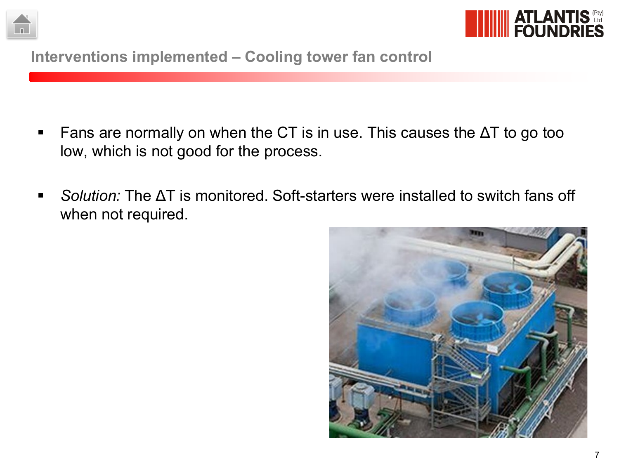



**Interventions implemented – Cooling tower fan control**

- Fans are normally on when the CT is in use. This causes the  $\Delta T$  to go too low, which is not good for the process.
- *Solution:* The ΔT is monitored. Soft-starters were installed to switch fans off when not required.

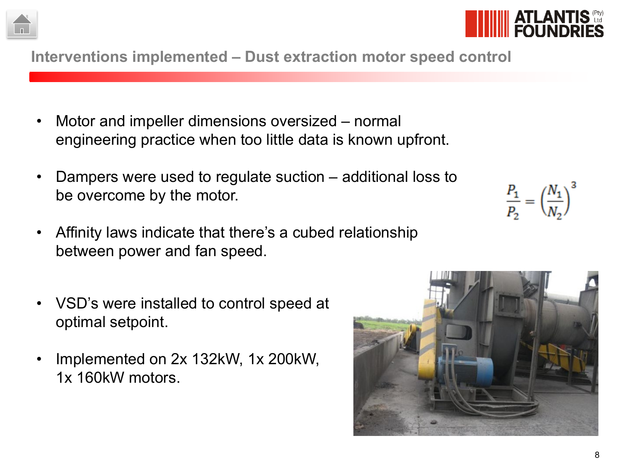**Interventions implemented – Dust extraction motor speed control**

- Motor and impeller dimensions oversized normal engineering practice when too little data is known upfront.
- Dampers were used to regulate suction additional loss to be overcome by the motor.
- Affinity laws indicate that there's a cubed relationship between power and fan speed.
- VSD's were installed to control speed at optimal setpoint.
- Implemented on 2x 132kW, 1x 200kW, 1x 160kW motors.

 $\frac{P_1}{P_2} = \left(\frac{N_1}{N_2}\right)^3$ 





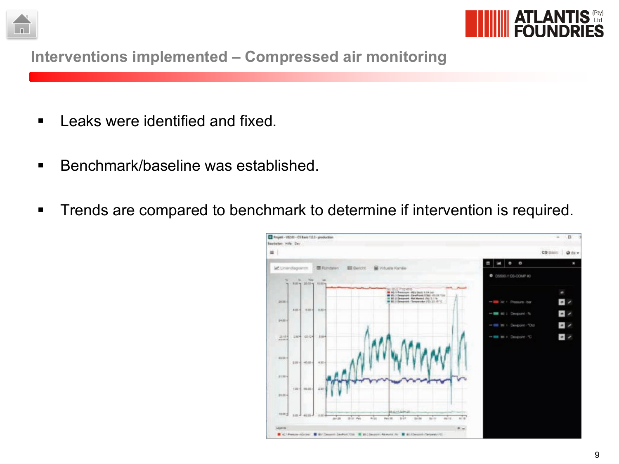



**Interventions implemented – Compressed air monitoring**

- **EXELGE EXERGE** Leaks were identified and fixed.
- Benchmark/baseline was established.
- **Trends are compared to benchmark to determine if intervention is required.**

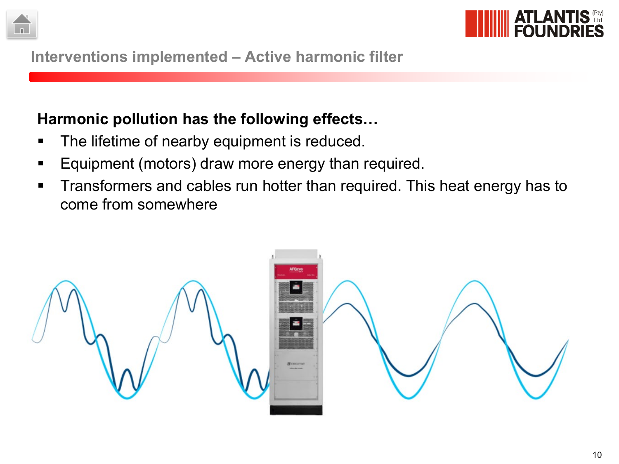



**Interventions implemented – Active harmonic filter**

## **Harmonic pollution has the following effects…**

- The lifetime of nearby equipment is reduced.
- **Equipment (motors) draw more energy than required.**
- **Transformers and cables run hotter than required. This heat energy has to** come from somewhere

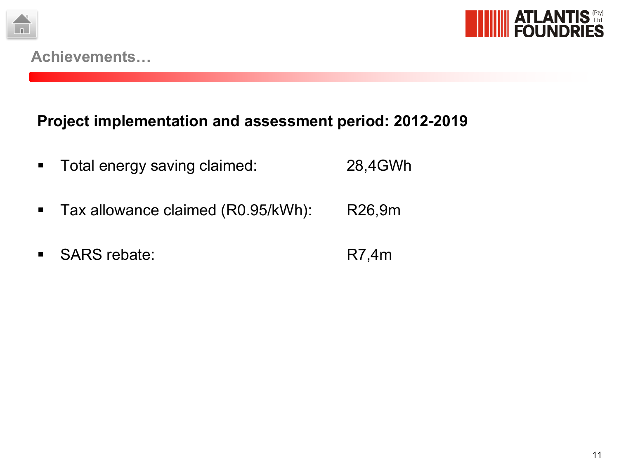



## **Project implementation and assessment period: 2012-2019**

- **Total energy saving claimed:** 28,4GWh
- **Tax allowance claimed (R0.95/kWh): R26,9m**
- SARS rebate: R7,4m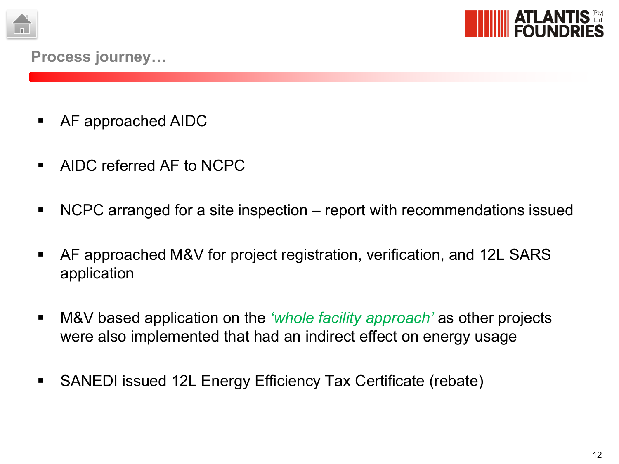



- AF approached AIDC
- **AIDC referred AF to NCPC**
- NCPC arranged for a site inspection report with recommendations issued
- AF approached M&V for project registration, verification, and 12L SARS application
- M&V based application on the *'whole facility approach'* as other projects were also implemented that had an indirect effect on energy usage
- SANEDI issued 12L Energy Efficiency Tax Certificate (rebate)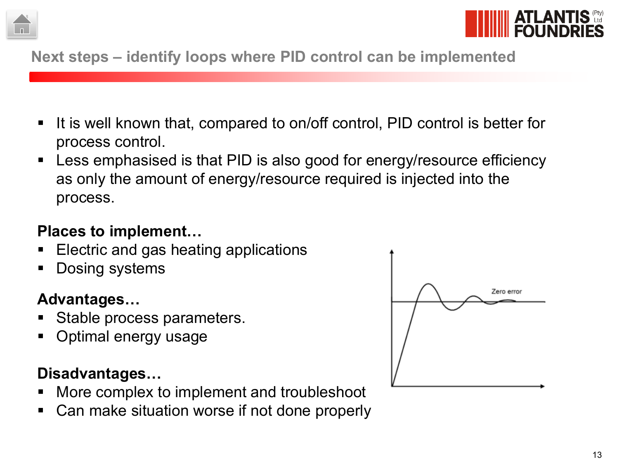



## **Next steps – identify loops where PID control can be implemented**

- It is well known that, compared to on/off control, PID control is better for process control.
- Less emphasised is that PID is also good for energy/resource efficiency as only the amount of energy/resource required is injected into the process.

## **Places to implement…**

- Electric and gas heating applications
- Dosing systems

# **Advantages…**

- Stable process parameters.
- Optimal energy usage

# **Disadvantages…**

- More complex to implement and troubleshoot
- Can make situation worse if not done properly

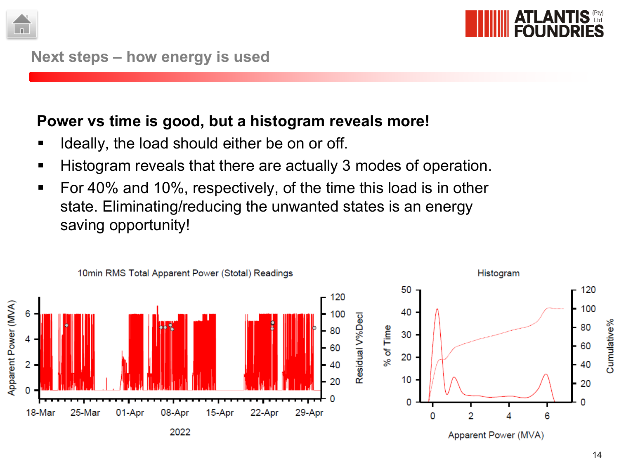



### **Power vs time is good, but a histogram reveals more!**

- **If ideally, the load should either be on or off.**
- Histogram reveals that there are actually 3 modes of operation.
- **For 40% and 10%, respectively, of the time this load is in other** state. Eliminating/reducing the unwanted states is an energy saving opportunity!

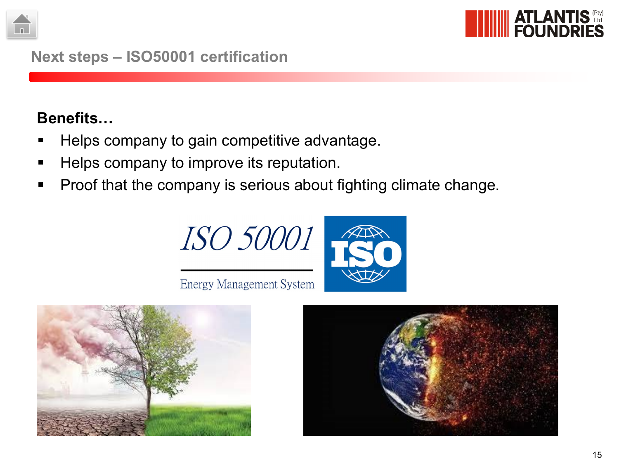



#### **Next steps – ISO50001 certification**

## **Benefits…**

- Helps company to gain competitive advantage.
- Helps company to improve its reputation.
- **Proof that the company is serious about fighting climate change.**



**Energy Management System**